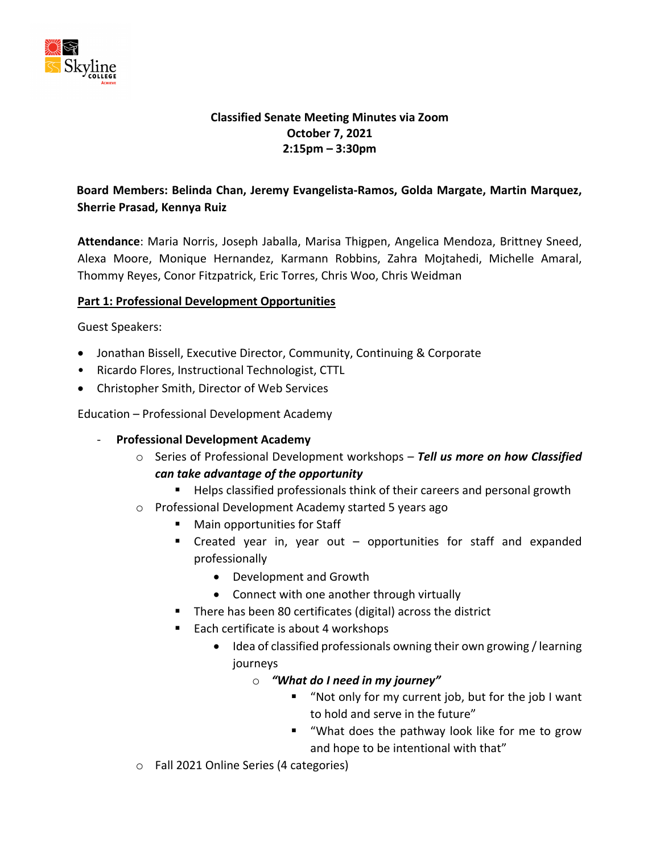

## **Classified Senate Meeting Minutes via Zoom October 7, 2021 2:15pm – 3:30pm**

# **Board Members: Belinda Chan, Jeremy Evangelista-Ramos, Golda Margate, Martin Marquez, Sherrie Prasad, Kennya Ruiz**

**Attendance**: Maria Norris, Joseph Jaballa, Marisa Thigpen, Angelica Mendoza, Brittney Sneed, Alexa Moore, Monique Hernandez, Karmann Robbins, Zahra Mojtahedi, Michelle Amaral, Thommy Reyes, Conor Fitzpatrick, Eric Torres, Chris Woo, Chris Weidman

### **Part 1: Professional Development Opportunities**

Guest Speakers:

- Jonathan Bissell, Executive Director, Community, Continuing & Corporate
- Ricardo Flores, Instructional Technologist, CTTL
- Christopher Smith, Director of Web Services

Education – Professional Development Academy

- **Professional Development Academy**
	- o Series of Professional Development workshops *Tell us more on how Classified can take advantage of the opportunity* 
		- Helps classified professionals think of their careers and personal growth
	- o Professional Development Academy started 5 years ago
		- Main opportunities for Staff
		- Created year in, year out opportunities for staff and expanded professionally
			- Development and Growth
			- Connect with one another through virtually
		- There has been 80 certificates (digital) across the district
		- Each certificate is about 4 workshops
			- Idea of classified professionals owning their own growing / learning journeys
				- o *"What do I need in my journey"* 
					- "Not only for my current job, but for the job I want to hold and serve in the future"
					- "What does the pathway look like for me to grow and hope to be intentional with that"
	- o Fall 2021 Online Series (4 categories)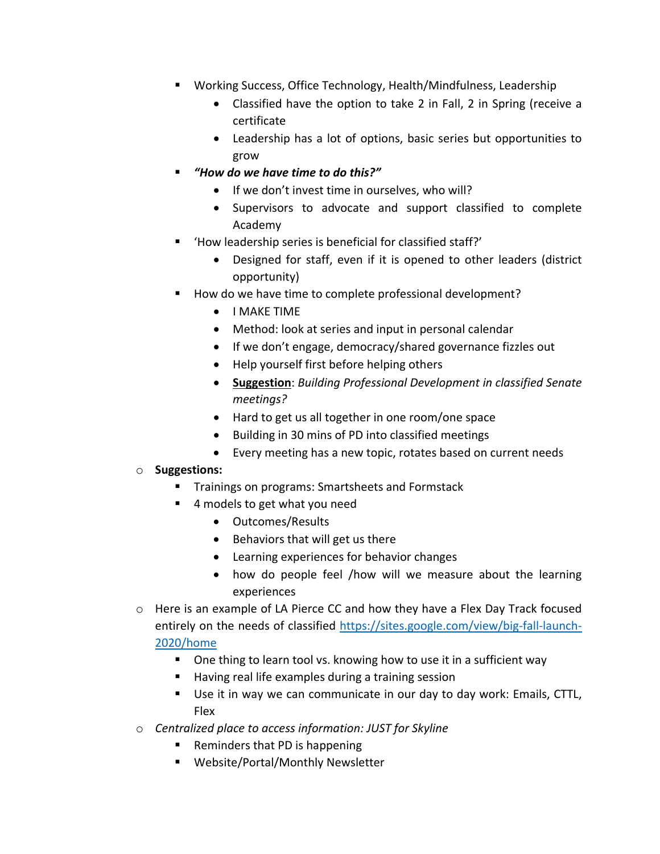- Working Success, Office Technology, Health/Mindfulness, Leadership
	- Classified have the option to take 2 in Fall, 2 in Spring (receive a certificate
	- Leadership has a lot of options, basic series but opportunities to grow
- *"How do we have time to do this?"*
	- If we don't invest time in ourselves, who will?
	- Supervisors to advocate and support classified to complete Academy
- 'How leadership series is beneficial for classified staff?'
	- Designed for staff, even if it is opened to other leaders (district opportunity)
- How do we have time to complete professional development?
	- I MAKE TIME
	- Method: look at series and input in personal calendar
	- If we don't engage, democracy/shared governance fizzles out
	- Help yourself first before helping others
	- **Suggestion**: *Building Professional Development in classified Senate meetings?*
	- Hard to get us all together in one room/one space
	- Building in 30 mins of PD into classified meetings
	- Every meeting has a new topic, rotates based on current needs

## o **Suggestions:**

- Trainings on programs: Smartsheets and Formstack
- 4 models to get what you need
	- Outcomes/Results
	- Behaviors that will get us there
	- Learning experiences for behavior changes
	- how do people feel /how will we measure about the learning experiences
- $\circ$  Here is an example of LA Pierce CC and how they have a Flex Day Track focused entirely on the needs of classified [https://sites.google.com/view/big-fall-launch-](https://sites.google.com/view/big-fall-launch-2020/home)[2020/home](https://sites.google.com/view/big-fall-launch-2020/home)
	- One thing to learn tool vs. knowing how to use it in a sufficient way
	- Having real life examples during a training session
	- Use it in way we can communicate in our day to day work: Emails, CTTL, Flex
- o *Centralized place to access information: JUST for Skyline* 
	- Reminders that PD is happening
	- Website/Portal/Monthly Newsletter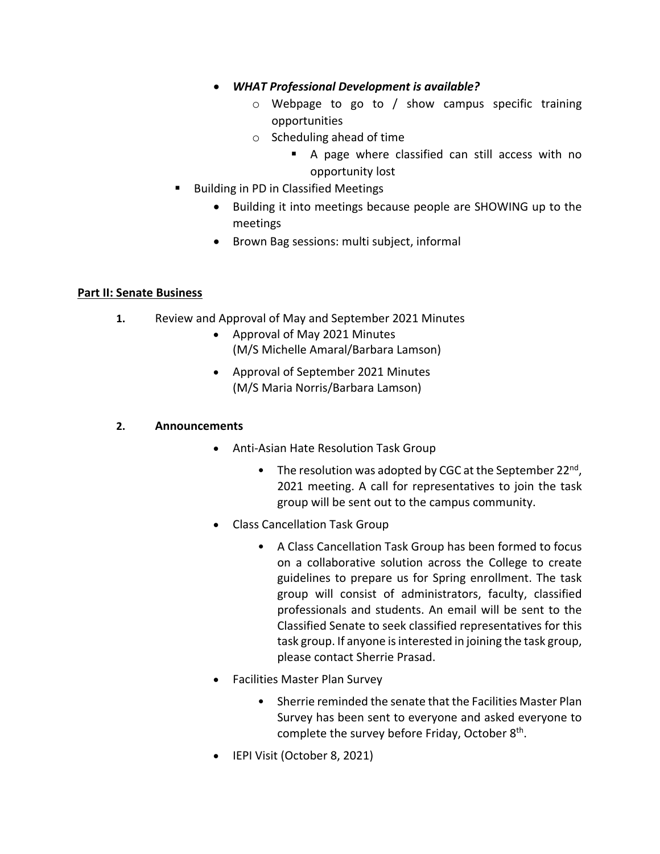- *WHAT Professional Development is available?* 
	- $\circ$  Webpage to go to / show campus specific training opportunities
	- o Scheduling ahead of time
		- A page where classified can still access with no opportunity lost
- Building in PD in Classified Meetings
	- Building it into meetings because people are SHOWING up to the meetings
	- Brown Bag sessions: multi subject, informal

### **Part II: Senate Business**

- **1.** Review and Approval of May and September 2021 Minutes
	- Approval of May 2021 Minutes
		- (M/S Michelle Amaral/Barbara Lamson)
	- Approval of September 2021 Minutes (M/S Maria Norris/Barbara Lamson)

## **2. Announcements**

- Anti-Asian Hate Resolution Task Group
	- The resolution was adopted by CGC at the September 22<sup>nd</sup>, 2021 meeting. A call for representatives to join the task group will be sent out to the campus community.
- Class Cancellation Task Group
	- A Class Cancellation Task Group has been formed to focus on a collaborative solution across the College to create guidelines to prepare us for Spring enrollment. The task group will consist of administrators, faculty, classified professionals and students. An email will be sent to the Classified Senate to seek classified representatives for this task group. If anyone is interested in joining the task group, please contact Sherrie Prasad.
- Facilities Master Plan Survey
	- Sherrie reminded the senate that the Facilities Master Plan Survey has been sent to everyone and asked everyone to complete the survey before Friday, October  $8<sup>th</sup>$ .
- IEPI Visit (October 8, 2021)